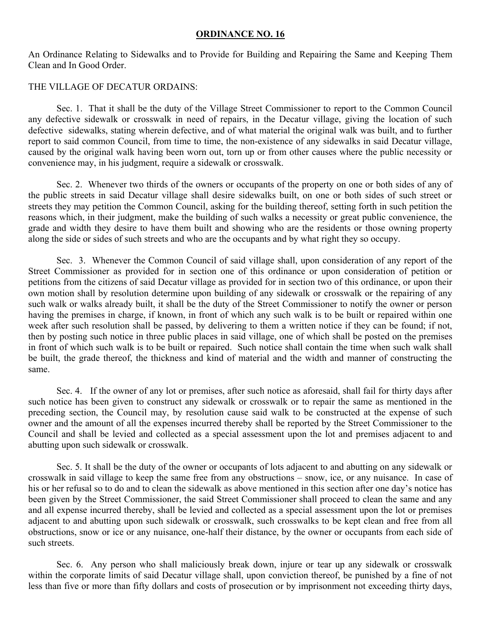#### **ORDINANCE NO. 16**

An Ordinance Relating to Sidewalks and to Provide for Building and Repairing the Same and Keeping Them Clean and In Good Order.

### THE VILLAGE OF DECATUR ORDAINS:

 Sec. 1. That it shall be the duty of the Village Street Commissioner to report to the Common Council any defective sidewalk or crosswalk in need of repairs, in the Decatur village, giving the location of such defective sidewalks, stating wherein defective, and of what material the original walk was built, and to further report to said common Council, from time to time, the non-existence of any sidewalks in said Decatur village, caused by the original walk having been worn out, torn up or from other causes where the public necessity or convenience may, in his judgment, require a sidewalk or crosswalk.

 Sec. 2. Whenever two thirds of the owners or occupants of the property on one or both sides of any of the public streets in said Decatur village shall desire sidewalks built, on one or both sides of such street or streets they may petition the Common Council, asking for the building thereof, setting forth in such petition the reasons which, in their judgment, make the building of such walks a necessity or great public convenience, the grade and width they desire to have them built and showing who are the residents or those owning property along the side or sides of such streets and who are the occupants and by what right they so occupy.

 Sec. 3. Whenever the Common Council of said village shall, upon consideration of any report of the Street Commissioner as provided for in section one of this ordinance or upon consideration of petition or petitions from the citizens of said Decatur village as provided for in section two of this ordinance, or upon their own motion shall by resolution determine upon building of any sidewalk or crosswalk or the repairing of any such walk or walks already built, it shall be the duty of the Street Commissioner to notify the owner or person having the premises in charge, if known, in front of which any such walk is to be built or repaired within one week after such resolution shall be passed, by delivering to them a written notice if they can be found; if not, then by posting such notice in three public places in said village, one of which shall be posted on the premises in front of which such walk is to be built or repaired. Such notice shall contain the time when such walk shall be built, the grade thereof, the thickness and kind of material and the width and manner of constructing the same.

 Sec. 4. If the owner of any lot or premises, after such notice as aforesaid, shall fail for thirty days after such notice has been given to construct any sidewalk or crosswalk or to repair the same as mentioned in the preceding section, the Council may, by resolution cause said walk to be constructed at the expense of such owner and the amount of all the expenses incurred thereby shall be reported by the Street Commissioner to the Council and shall be levied and collected as a special assessment upon the lot and premises adjacent to and abutting upon such sidewalk or crosswalk.

 Sec. 5. It shall be the duty of the owner or occupants of lots adjacent to and abutting on any sidewalk or crosswalk in said village to keep the same free from any obstructions – snow, ice, or any nuisance. In case of his or her refusal so to do and to clean the sidewalk as above mentioned in this section after one day's notice has been given by the Street Commissioner, the said Street Commissioner shall proceed to clean the same and any and all expense incurred thereby, shall be levied and collected as a special assessment upon the lot or premises adjacent to and abutting upon such sidewalk or crosswalk, such crosswalks to be kept clean and free from all obstructions, snow or ice or any nuisance, one-half their distance, by the owner or occupants from each side of such streets.

 Sec. 6. Any person who shall maliciously break down, injure or tear up any sidewalk or crosswalk within the corporate limits of said Decatur village shall, upon conviction thereof, be punished by a fine of not less than five or more than fifty dollars and costs of prosecution or by imprisonment not exceeding thirty days,